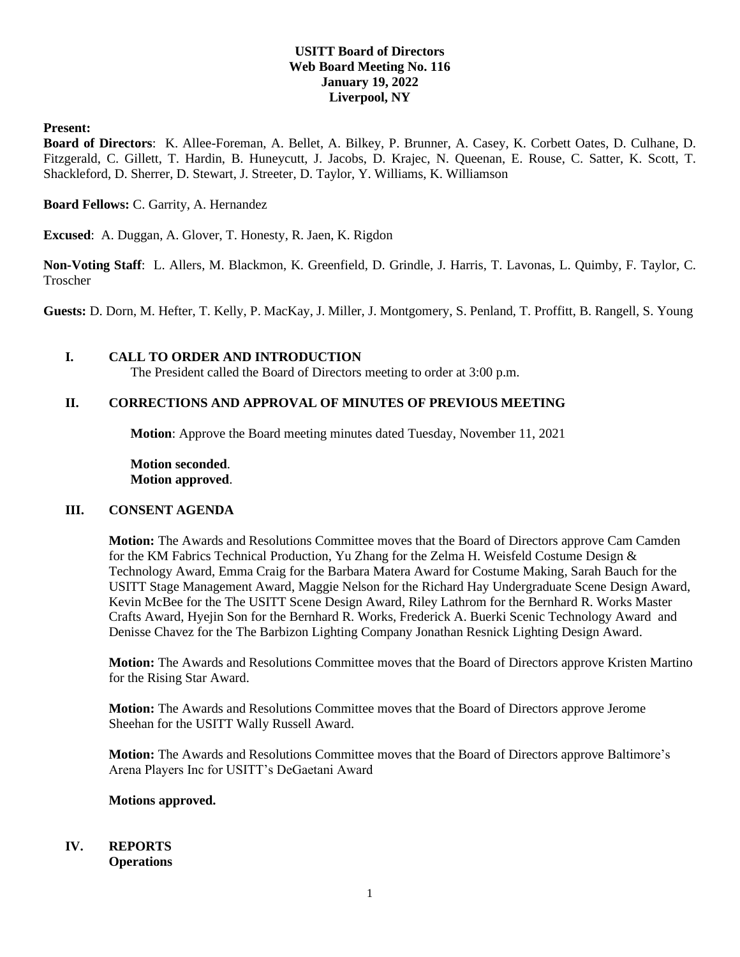# **USITT Board of Directors Web Board Meeting No. 116 January 19, 2022 Liverpool, NY**

### **Present:**

**Board of Directors**: K. Allee-Foreman, A. Bellet, A. Bilkey, P. Brunner, A. Casey, K. Corbett Oates, D. Culhane, D. Fitzgerald, C. Gillett, T. Hardin, B. Huneycutt, J. Jacobs, D. Krajec, N. Queenan, E. Rouse, C. Satter, K. Scott, T. Shackleford, D. Sherrer, D. Stewart, J. Streeter, D. Taylor, Y. Williams, K. Williamson

**Board Fellows:** C. Garrity, A. Hernandez

**Excused**: A. Duggan, A. Glover, T. Honesty, R. Jaen, K. Rigdon

**Non-Voting Staff**: L. Allers, M. Blackmon, K. Greenfield, D. Grindle, J. Harris, T. Lavonas, L. Quimby, F. Taylor, C. Troscher

**Guests:** D. Dorn, M. Hefter, T. Kelly, P. MacKay, J. Miller, J. Montgomery, S. Penland, T. Proffitt, B. Rangell, S. Young

### **I. CALL TO ORDER AND INTRODUCTION**

The President called the Board of Directors meeting to order at 3:00 p.m.

## **II. CORRECTIONS AND APPROVAL OF MINUTES OF PREVIOUS MEETING**

**Motion**: Approve the Board meeting minutes dated Tuesday, November 11, 2021

**Motion seconded**. **Motion approved**.

#### **III. CONSENT AGENDA**

**Motion:** The Awards and Resolutions Committee moves that the Board of Directors approve Cam Camden for the KM Fabrics Technical Production, Yu Zhang for the Zelma H. Weisfeld Costume Design & Technology Award, Emma Craig for the Barbara Matera Award for Costume Making, Sarah Bauch for the USITT Stage Management Award, Maggie Nelson for the Richard Hay Undergraduate Scene Design Award, Kevin McBee for the The USITT Scene Design Award, Riley Lathrom for the Bernhard R. Works Master Crafts Award, Hyejin Son for the Bernhard R. Works, Frederick A. Buerki Scenic Technology Award and Denisse Chavez for the The Barbizon Lighting Company Jonathan Resnick Lighting Design Award.

**Motion:** The Awards and Resolutions Committee moves that the Board of Directors approve Kristen Martino for the Rising Star Award.

**Motion:** The Awards and Resolutions Committee moves that the Board of Directors approve Jerome Sheehan for the USITT Wally Russell Award.

**Motion:** The Awards and Resolutions Committee moves that the Board of Directors approve Baltimore's Arena Players Inc for USITT's DeGaetani Award

#### **Motions approved.**

#### **IV. REPORTS Operations**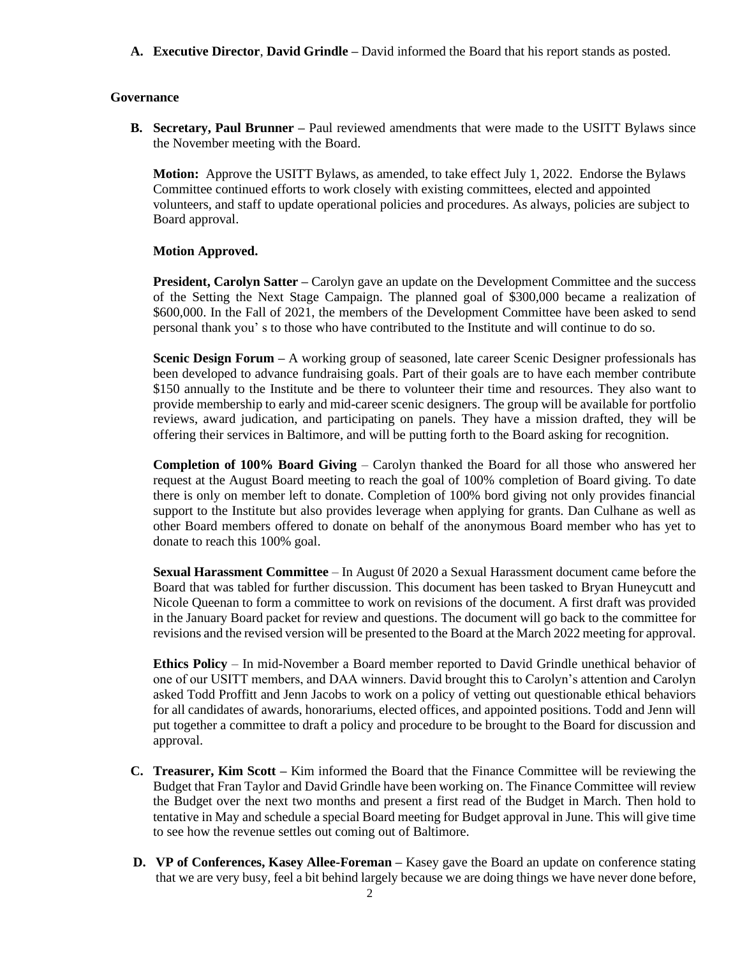**A. Executive Director**, **David Grindle –** David informed the Board that his report stands as posted.

### **Governance**

**B. Secretary, Paul Brunner –** Paul reviewed amendments that were made to the USITT Bylaws since the November meeting with the Board.

**Motion:** Approve the USITT Bylaws, as amended, to take effect July 1, 2022. Endorse the Bylaws Committee continued efforts to work closely with existing committees, elected and appointed volunteers, and staff to update operational policies and procedures. As always, policies are subject to Board approval.

### **Motion Approved.**

**President, Carolyn Satter –** Carolyn gave an update on the Development Committee and the success of the Setting the Next Stage Campaign. The planned goal of \$300,000 became a realization of \$600,000. In the Fall of 2021, the members of the Development Committee have been asked to send personal thank you' s to those who have contributed to the Institute and will continue to do so.

**Scenic Design Forum –** A working group of seasoned, late career Scenic Designer professionals has been developed to advance fundraising goals. Part of their goals are to have each member contribute \$150 annually to the Institute and be there to volunteer their time and resources. They also want to provide membership to early and mid-career scenic designers. The group will be available for portfolio reviews, award judication, and participating on panels. They have a mission drafted, they will be offering their services in Baltimore, and will be putting forth to the Board asking for recognition.

**Completion of 100% Board Giving** – Carolyn thanked the Board for all those who answered her request at the August Board meeting to reach the goal of 100% completion of Board giving. To date there is only on member left to donate. Completion of 100% bord giving not only provides financial support to the Institute but also provides leverage when applying for grants. Dan Culhane as well as other Board members offered to donate on behalf of the anonymous Board member who has yet to donate to reach this 100% goal.

**Sexual Harassment Committee** – In August 0f 2020 a Sexual Harassment document came before the Board that was tabled for further discussion. This document has been tasked to Bryan Huneycutt and Nicole Queenan to form a committee to work on revisions of the document. A first draft was provided in the January Board packet for review and questions. The document will go back to the committee for revisions and the revised version will be presented to the Board at the March 2022 meeting for approval.

**Ethics Policy** – In mid-November a Board member reported to David Grindle unethical behavior of one of our USITT members, and DAA winners. David brought this to Carolyn's attention and Carolyn asked Todd Proffitt and Jenn Jacobs to work on a policy of vetting out questionable ethical behaviors for all candidates of awards, honorariums, elected offices, and appointed positions. Todd and Jenn will put together a committee to draft a policy and procedure to be brought to the Board for discussion and approval.

- **C. Treasurer, Kim Scott –** Kim informed the Board that the Finance Committee will be reviewing the Budget that Fran Taylor and David Grindle have been working on. The Finance Committee will review the Budget over the next two months and present a first read of the Budget in March. Then hold to tentative in May and schedule a special Board meeting for Budget approval in June. This will give time to see how the revenue settles out coming out of Baltimore.
- **D. VP of Conferences, Kasey Allee-Foreman –** Kasey gave the Board an update on conference stating that we are very busy, feel a bit behind largely because we are doing things we have never done before,